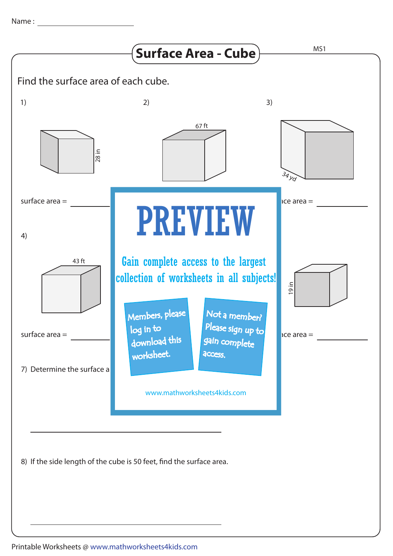